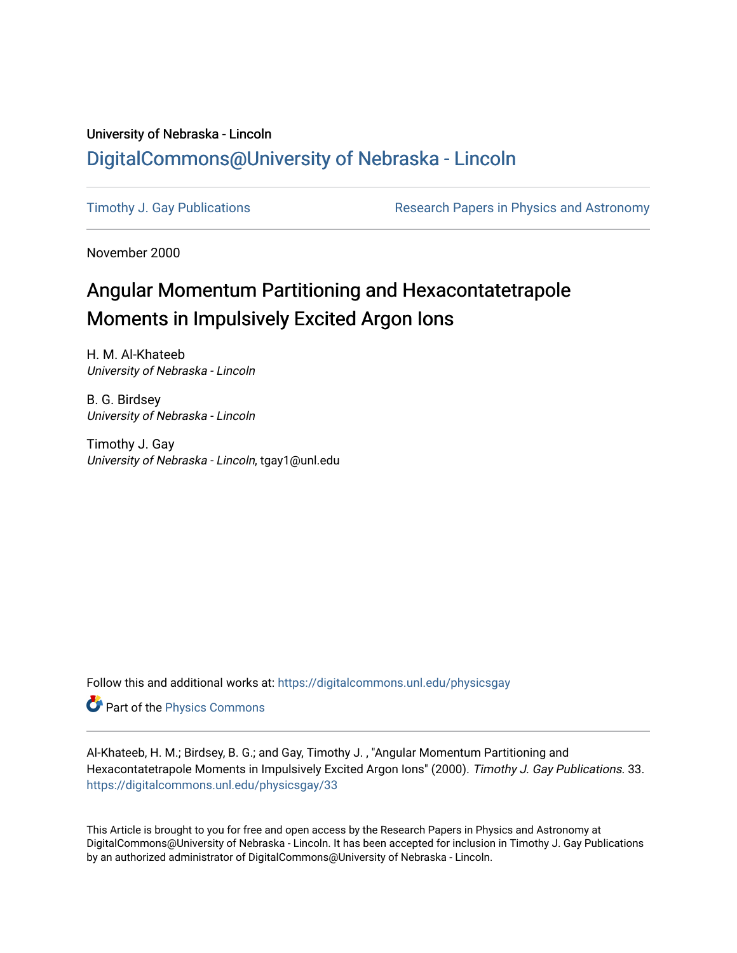## University of Nebraska - Lincoln [DigitalCommons@University of Nebraska - Lincoln](https://digitalcommons.unl.edu/)

[Timothy J. Gay Publications](https://digitalcommons.unl.edu/physicsgay) **Research Papers in Physics and Astronomy** 

November 2000

## Angular Momentum Partitioning and Hexacontatetrapole Moments in Impulsively Excited Argon Ions

H. M. Al-Khateeb University of Nebraska - Lincoln

B. G. Birdsey University of Nebraska - Lincoln

Timothy J. Gay University of Nebraska - Lincoln, tgay1@unl.edu

Follow this and additional works at: [https://digitalcommons.unl.edu/physicsgay](https://digitalcommons.unl.edu/physicsgay?utm_source=digitalcommons.unl.edu%2Fphysicsgay%2F33&utm_medium=PDF&utm_campaign=PDFCoverPages)

Part of the [Physics Commons](http://network.bepress.com/hgg/discipline/193?utm_source=digitalcommons.unl.edu%2Fphysicsgay%2F33&utm_medium=PDF&utm_campaign=PDFCoverPages)

Al-Khateeb, H. M.; Birdsey, B. G.; and Gay, Timothy J. , "Angular Momentum Partitioning and Hexacontatetrapole Moments in Impulsively Excited Argon Ions" (2000). Timothy J. Gay Publications. 33. [https://digitalcommons.unl.edu/physicsgay/33](https://digitalcommons.unl.edu/physicsgay/33?utm_source=digitalcommons.unl.edu%2Fphysicsgay%2F33&utm_medium=PDF&utm_campaign=PDFCoverPages) 

This Article is brought to you for free and open access by the Research Papers in Physics and Astronomy at DigitalCommons@University of Nebraska - Lincoln. It has been accepted for inclusion in Timothy J. Gay Publications by an authorized administrator of DigitalCommons@University of Nebraska - Lincoln.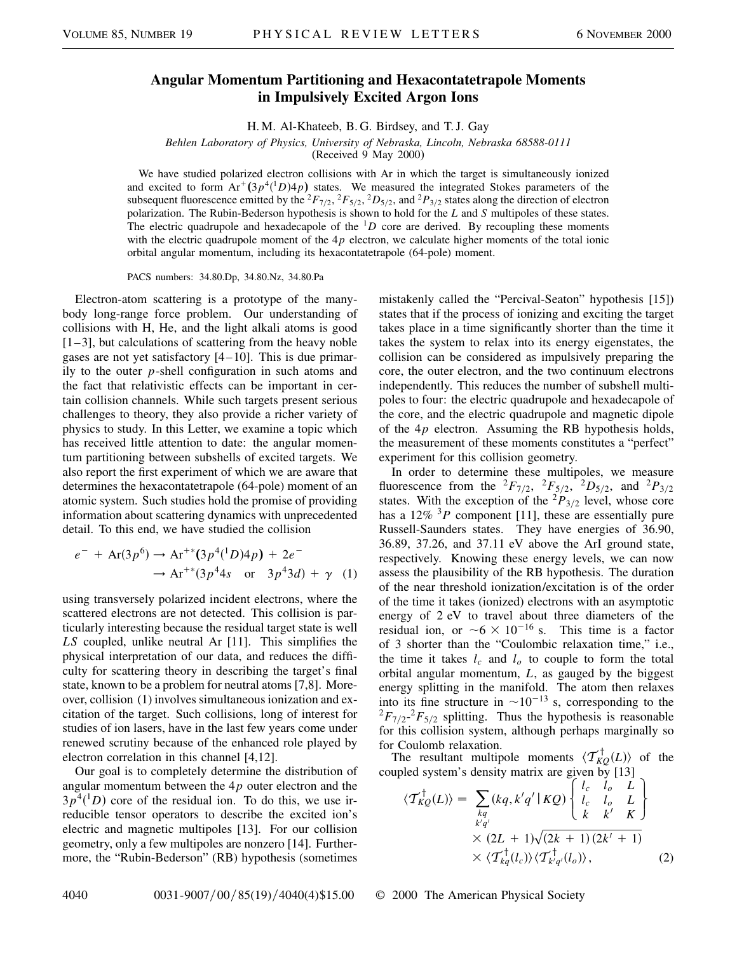## **Angular Momentum Partitioning and Hexacontatetrapole Moments in Impulsively Excited Argon Ions**

H. M. Al-Khateeb, B. G. Birdsey, and T. J. Gay

*Behlen Laboratory of Physics, University of Nebraska, Lincoln, Nebraska 68588-0111*

(Received 9 May 2000)

We have studied polarized electron collisions with Ar in which the target is simultaneously ionized and excited to form  $Ar^+(3p^4(^1D)4p)$  states. We measured the integrated Stokes parameters of the subsequent fluorescence emitted by the <sup>2</sup>*F*<sub>7/2</sub>, <sup>2</sup>*F*<sub>5/2</sub>, <sup>2</sup>*D*<sub>5/2</sub>, and <sup>2</sup>*P*<sub>3/2</sub> states along the direction of electron polarization. The Rubin-Bederson hypothesis is shown to hold for the *L* and *S* multipoles of these states. The electric quadrupole and hexadecapole of the  ${}^{1}D$  core are derived. By recoupling these moments with the electric quadrupole moment of the  $4p$  electron, we calculate higher moments of the total ionic orbital angular momentum, including its hexacontatetrapole (64-pole) moment.

PACS numbers: 34.80.Dp, 34.80.Nz, 34.80.Pa

Electron-atom scattering is a prototype of the manybody long-range force problem. Our understanding of collisions with H, He, and the light alkali atoms is good  $[1-3]$ , but calculations of scattering from the heavy noble gases are not yet satisfactory [4–10]. This is due primarily to the outer *p*-shell configuration in such atoms and the fact that relativistic effects can be important in certain collision channels. While such targets present serious challenges to theory, they also provide a richer variety of physics to study. In this Letter, we examine a topic which has received little attention to date: the angular momentum partitioning between subshells of excited targets. We also report the first experiment of which we are aware that determines the hexacontatetrapole (64-pole) moment of an atomic system. Such studies hold the promise of providing information about scattering dynamics with unprecedented detail. To this end, we have studied the collision

$$
e^- + Ar(3p^6) \to Ar^{+*}(3p^4(^1D)4p) + 2e^-
$$
  

$$
\to Ar^{+*}(3p^44s \text{ or } 3p^43d) + \gamma
$$
 (1)

using transversely polarized incident electrons, where the scattered electrons are not detected. This collision is particularly interesting because the residual target state is well *LS* coupled, unlike neutral Ar [11]. This simplifies the physical interpretation of our data, and reduces the difficulty for scattering theory in describing the target's final state, known to be a problem for neutral atoms [7,8]. Moreover, collision (1) involves simultaneous ionization and excitation of the target. Such collisions, long of interest for studies of ion lasers, have in the last few years come under renewed scrutiny because of the enhanced role played by electron correlation in this channel [4,12].

Our goal is to completely determine the distribution of angular momentum between the 4*p* outer electron and the  $3p^{4}$ <sup>(1</sup>D) core of the residual ion. To do this, we use irreducible tensor operators to describe the excited ion's electric and magnetic multipoles [13]. For our collision geometry, only a few multipoles are nonzero [14]. Furthermore, the "Rubin-Bederson" (RB) hypothesis (sometimes mistakenly called the "Percival-Seaton" hypothesis [15]) states that if the process of ionizing and exciting the target takes place in a time significantly shorter than the time it takes the system to relax into its energy eigenstates, the collision can be considered as impulsively preparing the core, the outer electron, and the two continuum electrons independently. This reduces the number of subshell multipoles to four: the electric quadrupole and hexadecapole of the core, and the electric quadrupole and magnetic dipole of the 4*p* electron. Assuming the RB hypothesis holds, the measurement of these moments constitutes a "perfect" experiment for this collision geometry.

In order to determine these multipoles, we measure fluorescence from the  ${}^{2}F_{7/2}$ ,  ${}^{2}F_{5/2}$ ,  ${}^{2}D_{5/2}$ , and  ${}^{2}P_{3/2}$ states. With the exception of the  ${}^{2}P_{3/2}$  level, whose core has a 12% <sup>3</sup>P component [11], these are essentially pure Russell-Saunders states. They have energies of 36.90, 36.89, 37.26, and 37.11 eV above the ArI ground state, respectively. Knowing these energy levels, we can now assess the plausibility of the RB hypothesis. The duration of the near threshold ionization/excitation is of the order of the time it takes (ionized) electrons with an asymptotic energy of 2 eV to travel about three diameters of the residual ion, or  $\sim 6 \times 10^{-16}$  s. This time is a factor of 3 shorter than the "Coulombic relaxation time," i.e., the time it takes  $l_c$  and  $l_o$  to couple to form the total orbital angular momentum, *L*, as gauged by the biggest energy splitting in the manifold. The atom then relaxes into its fine structure in  $\sim 10^{-13}$  s, corresponding to the  ${}^{2}F_{7/2}$  ${}^{2}F_{5/2}$  splitting. Thus the hypothesis is reasonable for this collision system, although perhaps marginally so for Coulomb relaxation.

The resultant multipole moments  $\langle \mathcal{T}_{KQ}^{\dagger}(L) \rangle$  of the coupled system's density matrix are given by [13]

$$
\langle \mathcal{T}_{KQ}^{\dagger}(L) \rangle = \sum_{\substack{kq \\ k'q' \\ \times (2L+1)\sqrt{(2k+1)(2k'+1)}}} \left\{ \begin{array}{ccc} l_c & l_o & L \\ l_c & l_o & L \\ k & k' & K \end{array} \right\}
$$

$$
\times (2L+1)\sqrt{(2k+1)(2k'+1)}
$$

$$
\times \langle \mathcal{T}_{kq}^{\dagger}(l_c) \rangle \langle \mathcal{T}_{k'q'}^{\dagger}(l_o) \rangle, \tag{2}
$$

4040 0031-9007/00/85(19)/4040(4)\$15.00 © 2000 The American Physical Society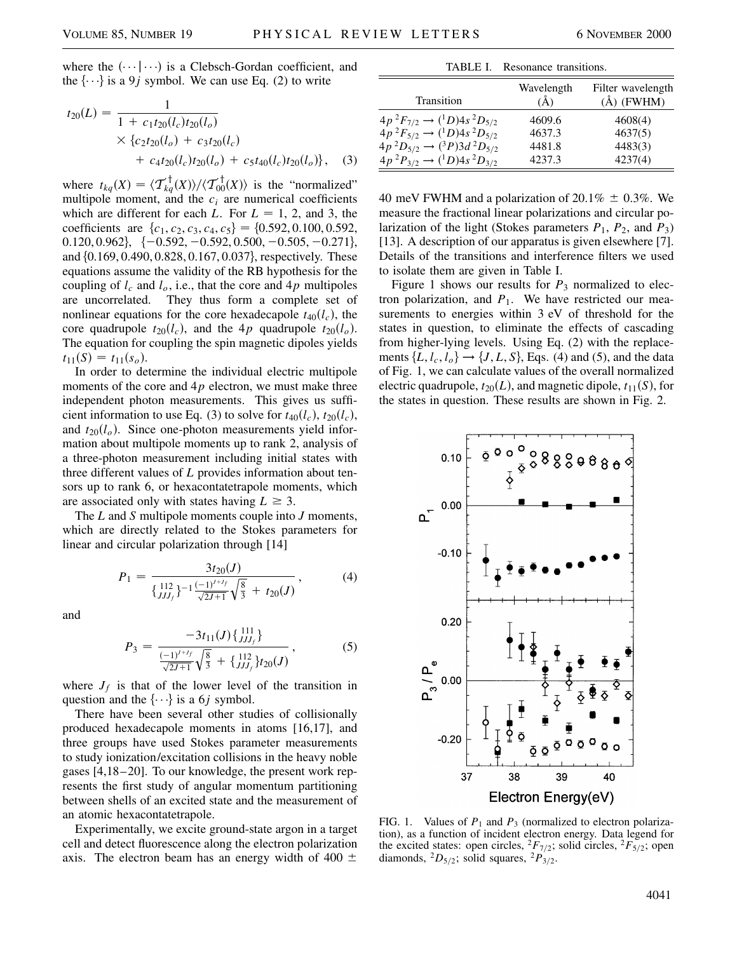where the  $(\cdots | \cdots)$  is a Clebsch-Gordan coefficient, and the  $\{\cdot\cdot\cdot\}$  is a 9*j* symbol. We can use Eq. (2) to write

$$
t_{20}(L) = \frac{1}{1 + c_1 t_{20}(l_c) t_{20}(l_o)}\n\times \{c_2 t_{20}(l_o) + c_3 t_{20}(l_c) + c_4 t_{20}(l_c) t_{20}(l_o) + c_5 t_{40}(l_c) t_{20}(l_o)\},
$$
\n(3)

where  $t_{kq}(X) = \langle \mathcal{T}_{kq}^{\dagger}(X) \rangle / \langle \mathcal{T}_{00}^{\dagger}(X) \rangle$  is the "normalized" multipole moment, and the  $c_i$  are numerical coefficients which are different for each *L*. For  $L = 1, 2$ , and 3, the coefficients are  $\{c_1, c_2, c_3, c_4, c_5\} = \{0.592, 0.100, 0.592,$ 0.120, 0.962,  $\{-0.592, -0.592, 0.500, -0.505, -0.271\}$ and  $\{0.169, 0.490, 0.828, 0.167, 0.037\}$ , respectively. These equations assume the validity of the RB hypothesis for the coupling of  $l_c$  and  $l_o$ , i.e., that the core and  $4p$  multipoles are uncorrelated. They thus form a complete set of nonlinear equations for the core hexadecapole  $t_{40}(l_c)$ , the core quadrupole  $t_{20}(l_c)$ , and the 4*p* quadrupole  $t_{20}(l_o)$ . The equation for coupling the spin magnetic dipoles yields  $t_{11}(S) = t_{11}(s_o).$ 

In order to determine the individual electric multipole moments of the core and  $4p$  electron, we must make three independent photon measurements. This gives us sufficient information to use Eq. (3) to solve for  $t_{40}(l_c)$ ,  $t_{20}(l_c)$ , and  $t_{20}(l_o)$ . Since one-photon measurements yield information about multipole moments up to rank 2, analysis of a three-photon measurement including initial states with three different values of *L* provides information about tensors up to rank 6, or hexacontatetrapole moments, which are associated only with states having  $L \geq 3$ .

The *L* and *S* multipole moments couple into *J* moments, which are directly related to the Stokes parameters for linear and circular polarization through [14]

$$
P_1 = \frac{3t_{20}(J)}{\left\{\frac{112}{JJ_f}\right\}^{-1}\frac{(-1)^{J+J_f}}{\sqrt{2J+1}}\sqrt{\frac{8}{3}} + t_{20}(J)},
$$
(4)

and

$$
P_3 = \frac{-3t_{11}(J)\left\{\frac{111}{JJ_Jf}\right\}}{\frac{(-1)^{J+J_f}}{\sqrt{2J+1}}\sqrt{\frac{8}{3}} + \left\{\frac{112}{JJ_Jf}\right\}t_{20}(J)},
$$
(5)

where  $J_f$  is that of the lower level of the transition in question and the  $\{\cdot\cdot\}$  is a 6*j* symbol.

There have been several other studies of collisionally produced hexadecapole moments in atoms [16,17], and three groups have used Stokes parameter measurements to study ionization/excitation collisions in the heavy noble gases [4,18–20]. To our knowledge, the present work represents the first study of angular momentum partitioning between shells of an excited state and the measurement of an atomic hexacontatetrapole.

Experimentally, we excite ground-state argon in a target cell and detect fluorescence along the electron polarization axis. The electron beam has an energy width of 400  $\pm$ 

|                                              | TABLE I. Resonance transitions. |                                     |
|----------------------------------------------|---------------------------------|-------------------------------------|
| Transition                                   | Wavelength<br>(Å)               | Filter wavelength<br>$(\AA)$ (FWHM) |
| $4p^2F_{7/2} \rightarrow (^1D)4s^2D_{5/2}$   | 4609.6                          | 4608(4)                             |
| $4p^2F_{5/2} \rightarrow (^1D)4s^2D_{5/2}$   | 4637.3                          | 4637(5)                             |
| $4p^2D_{5/2} \rightarrow ({}^3P)3d^2D_{5/2}$ | 4481.8                          | 4483(3)                             |
| $4p^2P_{3/2} \rightarrow (^1D)4s^2D_{3/2}$   | 4237.3                          | 4237(4)                             |

40 meV FWHM and a polarization of 20.1%  $\pm$  0.3%. We measure the fractional linear polarizations and circular polarization of the light (Stokes parameters *P*1, *P*2, and *P*3) [13]. A description of our apparatus is given elsewhere [7]. Details of the transitions and interference filters we used to isolate them are given in Table I.

Figure 1 shows our results for  $P_3$  normalized to electron polarization, and  $P_1$ . We have restricted our measurements to energies within 3 eV of threshold for the states in question, to eliminate the effects of cascading from higher-lying levels. Using Eq. (2) with the replacements  $\{L, l_c, l_o\} \rightarrow \{J, L, S\}$ , Eqs. (4) and (5), and the data of Fig. 1, we can calculate values of the overall normalized electric quadrupole,  $t_{20}(L)$ , and magnetic dipole,  $t_{11}(S)$ , for the states in question. These results are shown in Fig. 2.



FIG. 1. Values of  $P_1$  and  $P_3$  (normalized to electron polarization), as a function of incident electron energy. Data legend for the excited states: open circles,  ${}^2F_{7/2}$ ; solid circles,  ${}^2F_{5/2}$ ; open diamonds,  ${}^2D_{5/2}$ ; solid squares,  ${}^2P_{3/2}$ .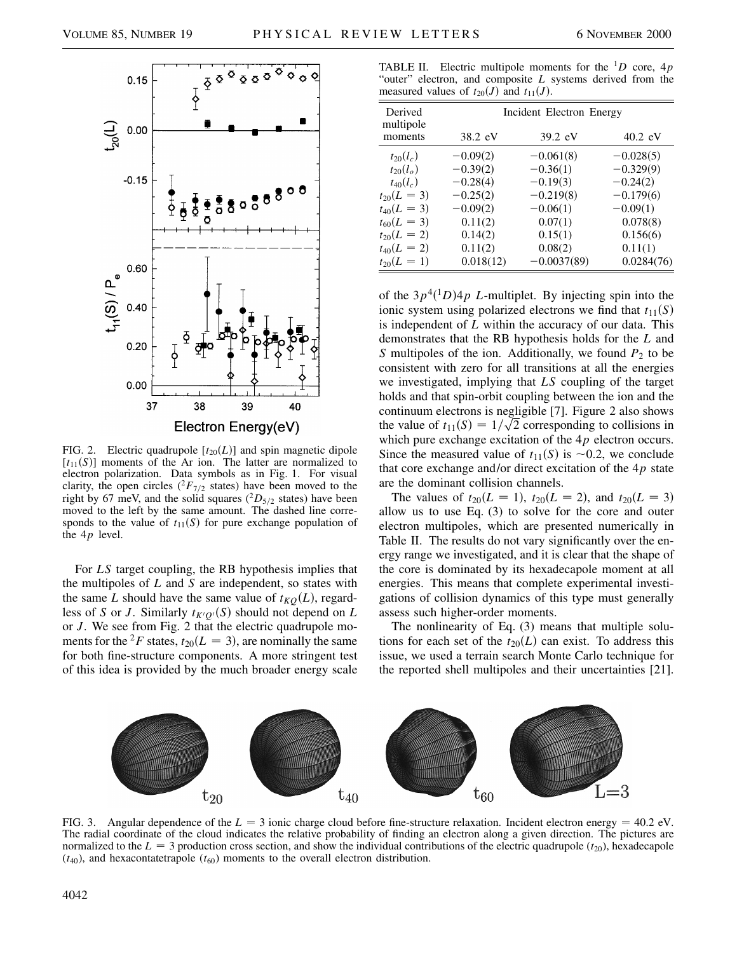

FIG. 2. Electric quadrupole  $[t_{20}(L)]$  and spin magnetic dipole  $[t_{11}(S)]$  moments of the Ar ion. The latter are normalized to electron polarization. Data symbols as in Fig. 1. For visual clarity, the open circles ( ${}^{2}F_{7/2}$  states) have been moved to the right by 67 meV, and the solid squares  $(^2D_{5/2}$  states) have been moved to the left by the same amount. The dashed line corresponds to the value of  $t_{11}(S)$  for pure exchange population of the 4*p* level.

For *LS* target coupling, the RB hypothesis implies that the multipoles of *L* and *S* are independent, so states with the same *L* should have the same value of  $t_{KQ}(L)$ , regardless of *S* or *J*. Similarly  $t_{K/Q}(S)$  should not depend on *L* or *J*. We see from Fig. 2 that the electric quadrupole moments for the <sup>2</sup>F states,  $t_{20}(L = 3)$ , are nominally the same for both fine-structure components. A more stringent test of this idea is provided by the much broader energy scale

TABLE II. Electric multipole moments for the <sup>1</sup>*D* core, 4*p* "outer" electron, and composite *L* systems derived from the measured values of  $t_{20}(J)$  and  $t_{11}(J)$ .

| Derived<br>multipole | Incident Electron Energy |                   |             |  |
|----------------------|--------------------------|-------------------|-------------|--|
| moments              | 38.2 eV                  | $39.2 \text{ eV}$ | $40.2$ eV   |  |
| $t_{20}(l_c)$        | $-0.09(2)$               | $-0.061(8)$       | $-0.028(5)$ |  |
| $t_{20}(l_o)$        | $-0.39(2)$               | $-0.36(1)$        | $-0.329(9)$ |  |
| $t_{40}(l_c)$        | $-0.28(4)$               | $-0.19(3)$        | $-0.24(2)$  |  |
| $t_{20}(L = 3)$      | $-0.25(2)$               | $-0.219(8)$       | $-0.179(6)$ |  |
| $t_{40}(L = 3)$      | $-0.09(2)$               | $-0.06(1)$        | $-0.09(1)$  |  |
| $t_{60}(L = 3)$      | 0.11(2)                  | 0.07(1)           | 0.078(8)    |  |
| $t_{20}(L=2)$        | 0.14(2)                  | 0.15(1)           | 0.156(6)    |  |
| $t_{40}(L = 2)$      | 0.11(2)                  | 0.08(2)           | 0.11(1)     |  |
| $t_{20}(L = 1)$      | 0.018(12)                | $-0.0037(89)$     | 0.0284(76)  |  |

of the  $3p^4(^1D)4p$  *L*-multiplet. By injecting spin into the ionic system using polarized electrons we find that  $t_{11}(S)$ is independent of *L* within the accuracy of our data. This demonstrates that the RB hypothesis holds for the *L* and *S* multipoles of the ion. Additionally, we found  $P_2$  to be consistent with zero for all transitions at all the energies we investigated, implying that *LS* coupling of the target holds and that spin-orbit coupling between the ion and the continuum electrons is negligible [7]. Figure 2 also shows the value of  $t_{11}(S) = 1/\sqrt{2}$  corresponding to collisions in which pure exchange excitation of the  $4p$  electron occurs. Since the measured value of  $t_{11}(S)$  is  $\sim 0.2$ , we conclude that core exchange and/or direct excitation of the 4*p* state are the dominant collision channels.

The values of  $t_{20}(L = 1)$ ,  $t_{20}(L = 2)$ , and  $t_{20}(L = 3)$ allow us to use Eq. (3) to solve for the core and outer electron multipoles, which are presented numerically in Table II. The results do not vary significantly over the energy range we investigated, and it is clear that the shape of the core is dominated by its hexadecapole moment at all energies. This means that complete experimental investigations of collision dynamics of this type must generally assess such higher-order moments.

The nonlinearity of Eq. (3) means that multiple solutions for each set of the  $t_{20}(L)$  can exist. To address this issue, we used a terrain search Monte Carlo technique for the reported shell multipoles and their uncertainties [21].



FIG. 3. Angular dependence of the  $L = 3$  ionic charge cloud before fine-structure relaxation. Incident electron energy = 40.2 eV. The radial coordinate of the cloud indicates the relative probability of finding an electron along a given direction. The pictures are normalized to the  $L = 3$  production cross section, and show the individual contributions of the electric quadrupole ( $t_{20}$ ), hexadecapole  $(t_{40})$ , and hexacontatetrapole  $(t_{60})$  moments to the overall electron distribution.